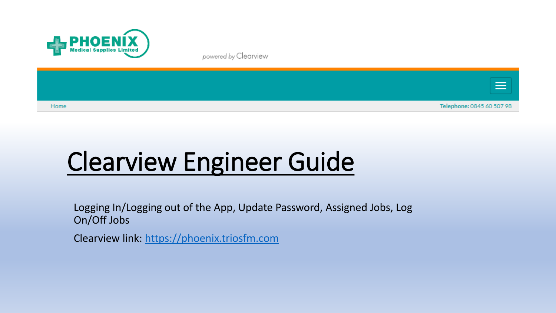

powered by Clearview



# Clearview Engineer Guide

Logging In/Logging out of the App, Update Password, Assigned Jobs, Log On/Off Jobs

Clearview link: [https://phoenix.triosfm.com](https://phoenix.triosfm.com/)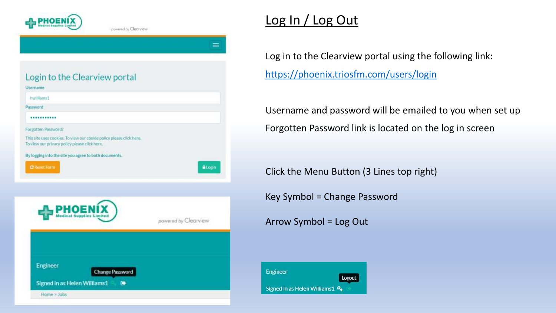

powered by Clearyjaw

| Login to the Clearview portal                                                                                         |                      |
|-----------------------------------------------------------------------------------------------------------------------|----------------------|
| Username                                                                                                              |                      |
| hwilliams1                                                                                                            |                      |
| Password                                                                                                              |                      |
|                                                                                                                       |                      |
| Forgotten Password?                                                                                                   |                      |
| This site uses cookies. To view our cookie policy please click here.<br>To view our privacy policy please click here. |                      |
| By logging into the site you agree to both documents.                                                                 |                      |
| <b>C</b> Reset Form                                                                                                   | <b>Atogin</b>        |
|                                                                                                                       |                      |
|                                                                                                                       |                      |
|                                                                                                                       |                      |
|                                                                                                                       |                      |
|                                                                                                                       | powered by Clearview |
|                                                                                                                       |                      |
|                                                                                                                       |                      |
|                                                                                                                       |                      |
| Engineer<br><b>Change Password</b>                                                                                    |                      |
| Signed in as Helen Williams1<br>D                                                                                     |                      |
|                                                                                                                       |                      |
| Home > Jobs                                                                                                           |                      |

## Log In / Log Out

Log in to the Clearview portal using the following link: <https://phoenix.triosfm.com/users/login>

Username and password will be emailed to you when set up Forgotten Password link is located on the log in screen

Click the Menu Button (3 Lines top right)

Key Symbol = Change Password

Arrow Symbol = Log Out

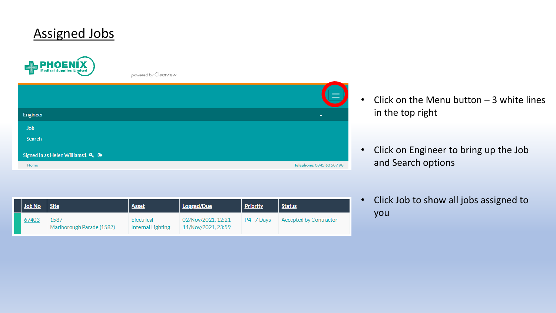### Assigned Jobs



powered by Clearview

|                                                   | $\equiv$                  |
|---------------------------------------------------|---------------------------|
| Engineer                                          | ۰                         |
| <b>Job</b>                                        |                           |
| Search                                            |                           |
| Signed in as Helen Williams 1 $Q_8$ $\rightarrow$ |                           |
| Home                                              | Telephone: 0845 60 507 98 |

- Click on the Menu button  $-3$  white lines in the top right
- Click on Engineer to bring up the Job and Search options

| Job No | <b>Site</b>                       | <b>Asset</b>                    | Logged/Due                               | <b>Priority</b> | <b>Status</b>          |
|--------|-----------------------------------|---------------------------------|------------------------------------------|-----------------|------------------------|
| 67403  | 1587<br>Marlborough Parade (1587) | Electrical<br>Internal Lighting | 02/Nov/2021, 12:21<br>11/Nov/2021, 23:59 | P4 - 7 Davs     | Accepted by Contractor |

• Click Job to show all jobs assigned to you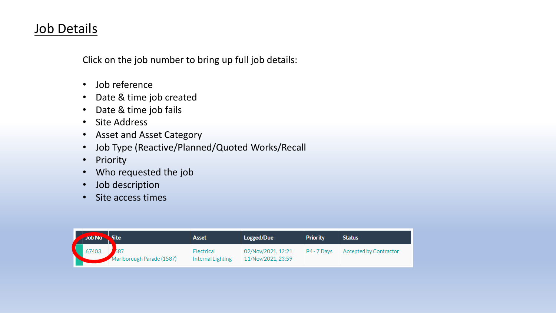### Job Details

Click on the job number to bring up full job details:

- Job reference
- Date & time job created
- Date & time job fails
- Site Address
- Asset and Asset Category
- Job Type (Reactive/Planned/Quoted Works/Recall
- Priority
- Who requested the job
- Job description
- Site access times

| $\sqrt{10b\ No}$ | Site                             | <b>Asset</b>                    | Logged/Due                               | <b>Priority</b> | <b>Status</b>          |
|------------------|----------------------------------|---------------------------------|------------------------------------------|-----------------|------------------------|
| 67403            | 587<br>Marlborough Parade (1587) | Electrical<br>Internal Lighting | 02/Nov/2021, 12:21<br>11/Nov/2021, 23:59 | P4 - 7 Days     | Accepted by Contractor |